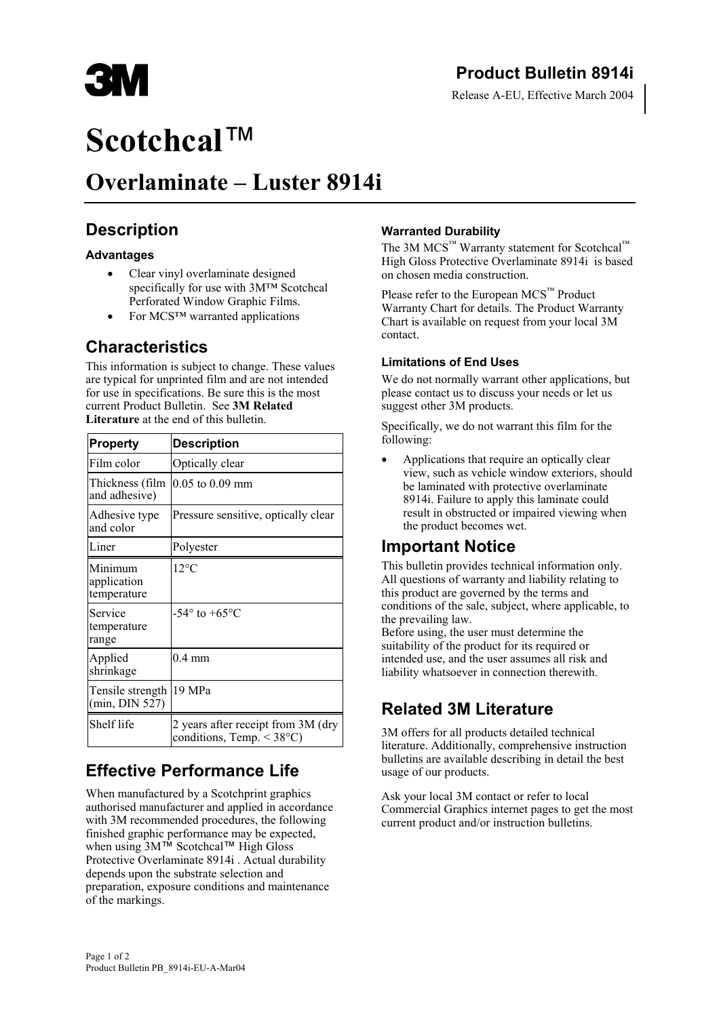

Release A-EU, Effective March 2004

# **Scotchcal**™

## **Overlaminate – Luster 8914i**

## **Description**

#### **Advantages**

- Clear vinyl overlaminate designed specifically for use with 3M™ Scotchcal Perforated Window Graphic Films.
- For MCS™ warranted applications

## **Characteristics**

This information is subject to change. These values are typical for unprinted film and are not intended for use in specifications. Be sure this is the most current Product Bulletin. See **3M Related Literature** at the end of this bulletin.

| <b>Property</b>                       | <b>Description</b>                                                           |
|---------------------------------------|------------------------------------------------------------------------------|
| Film color                            | Optically clear                                                              |
| Thickness (film<br>and adhesive)      | $0.05$ to $0.09$ mm                                                          |
| Adhesive type<br>and color            | Pressure sensitive, optically clear                                          |
| Liner                                 | Polyester                                                                    |
| Minimum<br>application<br>temperature | $12^{\circ}$ C                                                               |
| Service<br>temperature<br>range       | -54 $^{\circ}$ to +65 $^{\circ}$ C                                           |
| Applied<br>shrinkage                  | $0.4 \text{ mm}$                                                             |
| Tensile strength<br>(min, DIN 527)    | 19 MPa                                                                       |
| Shelf life                            | 2 years after receipt from 3M (dry<br>conditions, Temp. $\leq 38^{\circ}$ C) |

## **Effective Performance Life**

When manufactured by a Scotchprint graphics authorised manufacturer and applied in accordance with 3M recommended procedures, the following finished graphic performance may be expected, when using 3M™ Scotchcal™ High Gloss Protective Overlaminate 8914i . Actual durability depends upon the substrate selection and preparation, exposure conditions and maintenance of the markings.

#### **Warranted Durability**

The 3M MCS<sup>™</sup> Warranty statement for Scotchcal™ High Gloss Protective Overlaminate 8914i is based on chosen media construction.

Please refer to the European MCS<sup>™</sup> Product Warranty Chart for details. The Product Warranty Chart is available on request from your local 3M contact.

#### **Limitations of End Uses**

We do not normally warrant other applications, but please contact us to discuss your needs or let us suggest other 3M products.

Specifically, we do not warrant this film for the following:

• Applications that require an optically clear view, such as vehicle window exteriors, should be laminated with protective overlaminate 8914i. Failure to apply this laminate could result in obstructed or impaired viewing when the product becomes wet.

### **Important Notice**

This bulletin provides technical information only. All questions of warranty and liability relating to this product are governed by the terms and conditions of the sale, subject, where applicable, to the prevailing law.

Before using, the user must determine the suitability of the product for its required or intended use, and the user assumes all risk and liability whatsoever in connection therewith.

## **Related 3M Literature**

3M offers for all products detailed technical literature. Additionally, comprehensive instruction bulletins are available describing in detail the best usage of our products.

Ask your local 3M contact or refer to local Commercial Graphics internet pages to get the most current product and/or instruction bulletins.